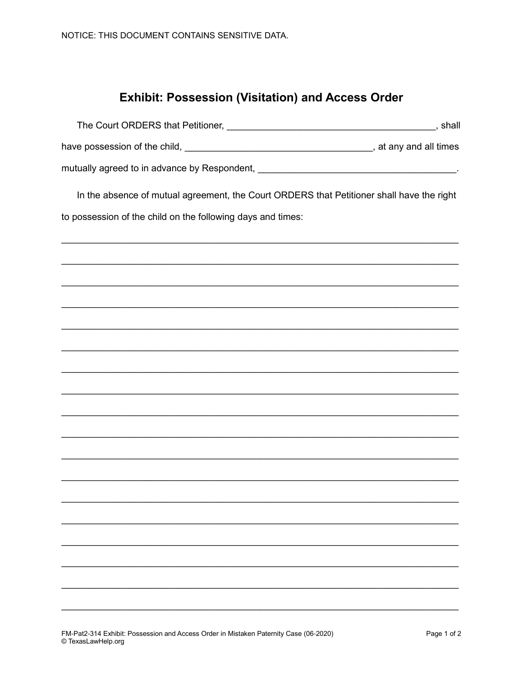## **Exhibit: Possession (Visitation) and Access Order**

| The Court ORDERS that Petitioner,            | shall                  |
|----------------------------------------------|------------------------|
| have possession of the child,                | , at any and all times |
| mutually agreed to in advance by Respondent, |                        |

In the absence of mutual agreement, the Court ORDERS that Petitioner shall have the right

to possession of the child on the following days and times: